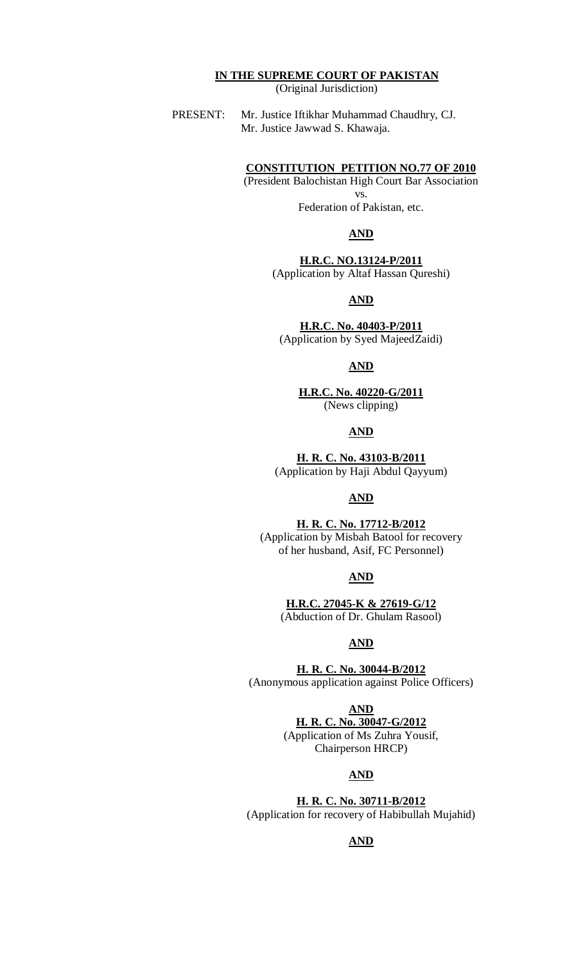# **IN THE SUPREME COURT OF PAKISTAN**

(Original Jurisdiction)

PRESENT: Mr. Justice Iftikhar Muhammad Chaudhry, CJ. Mr. Justice Jawwad S. Khawaja.

#### **CONSTITUTION PETITION NO.77 OF 2010**

(President Balochistan High Court Bar Association vs. Federation of Pakistan, etc.

#### **AND**

**H.R.C. NO.13124-P/2011** (Application by Altaf Hassan Qureshi)

#### **AND**

**H.R.C. No. 40403-P/2011** (Application by Syed MajeedZaidi)

#### **AND**

**H.R.C. No. 40220-G/2011** (News clipping)

#### **AND**

**H. R. C. No. 43103-B/2011** (Application by Haji Abdul Qayyum)

#### **AND**

#### **H. R. C. No. 17712-B/2012**

(Application by Misbah Batool for recovery of her husband, Asif, FC Personnel)

#### **AND**

**H.R.C. 27045-K & 27619-G/12** (Abduction of Dr. Ghulam Rasool)

### **AND**

**H. R. C. No. 30044-B/2012** (Anonymous application against Police Officers)

**AND**

**H. R. C. No. 30047-G/2012** (Application of Ms Zuhra Yousif, Chairperson HRCP)

#### **AND**

**H. R. C. No. 30711-B/2012** (Application for recovery of Habibullah Mujahid)

#### **AND**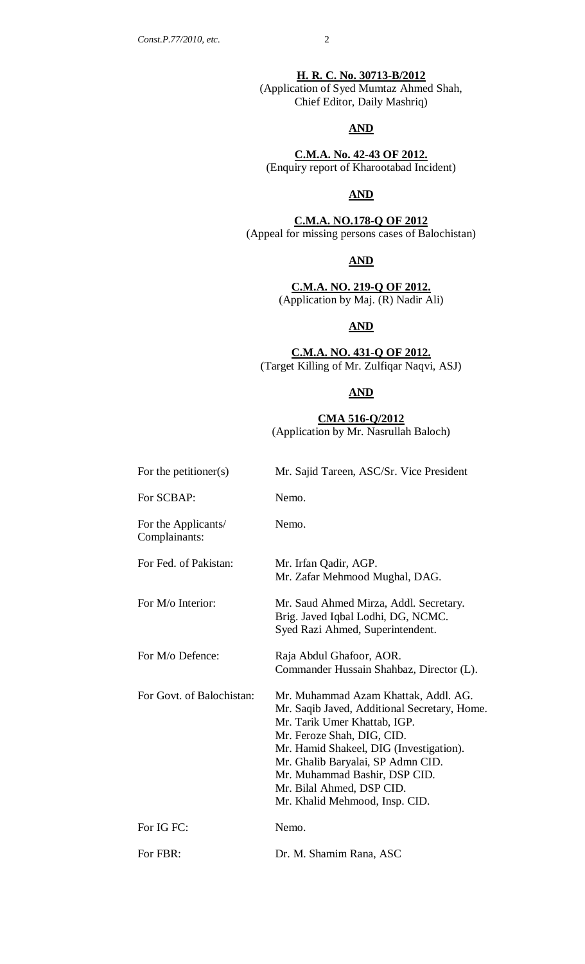**H. R. C. No. 30713-B/2012** (Application of Syed Mumtaz Ahmed Shah, Chief Editor, Daily Mashriq)

#### **AND**

**C.M.A. No. 42-43 OF 2012.** (Enquiry report of Kharootabad Incident)

#### **AND**

**C.M.A. NO.178-Q OF 2012** (Appeal for missing persons cases of Balochistan)

**AND**

**C.M.A. NO. 219-Q OF 2012.** (Application by Maj. (R) Nadir Ali)

#### **AND**

#### **C.M.A. NO. 431-Q OF 2012.** (Target Killing of Mr. Zulfiqar Naqvi, ASJ)

## **AND**

**CMA 516-Q/2012** (Application by Mr. Nasrullah Baloch)

| For the petitioner(s)                | Mr. Sajid Tareen, ASC/Sr. Vice President                                                                                                                                                                                                                                                                                           |  |  |
|--------------------------------------|------------------------------------------------------------------------------------------------------------------------------------------------------------------------------------------------------------------------------------------------------------------------------------------------------------------------------------|--|--|
| For SCBAP:                           | Nemo.                                                                                                                                                                                                                                                                                                                              |  |  |
| For the Applicants/<br>Complainants: | Nemo.                                                                                                                                                                                                                                                                                                                              |  |  |
| For Fed. of Pakistan:                | Mr. Irfan Qadir, AGP.<br>Mr. Zafar Mehmood Mughal, DAG.                                                                                                                                                                                                                                                                            |  |  |
| For M/o Interior:                    | Mr. Saud Ahmed Mirza, Addl. Secretary.<br>Brig. Javed Iqbal Lodhi, DG, NCMC.<br>Syed Razi Ahmed, Superintendent.                                                                                                                                                                                                                   |  |  |
| For M/o Defence:                     | Raja Abdul Ghafoor, AOR.<br>Commander Hussain Shahbaz, Director (L).                                                                                                                                                                                                                                                               |  |  |
| For Govt. of Balochistan:            | Mr. Muhammad Azam Khattak, Addl. AG.<br>Mr. Saqib Javed, Additional Secretary, Home.<br>Mr. Tarik Umer Khattab, IGP.<br>Mr. Feroze Shah, DIG, CID.<br>Mr. Hamid Shakeel, DIG (Investigation).<br>Mr. Ghalib Baryalai, SP Admn CID.<br>Mr. Muhammad Bashir, DSP CID.<br>Mr. Bilal Ahmed, DSP CID.<br>Mr. Khalid Mehmood, Insp. CID. |  |  |
| For IG FC:                           | Nemo.                                                                                                                                                                                                                                                                                                                              |  |  |
| For FBR:                             | Dr. M. Shamim Rana, ASC                                                                                                                                                                                                                                                                                                            |  |  |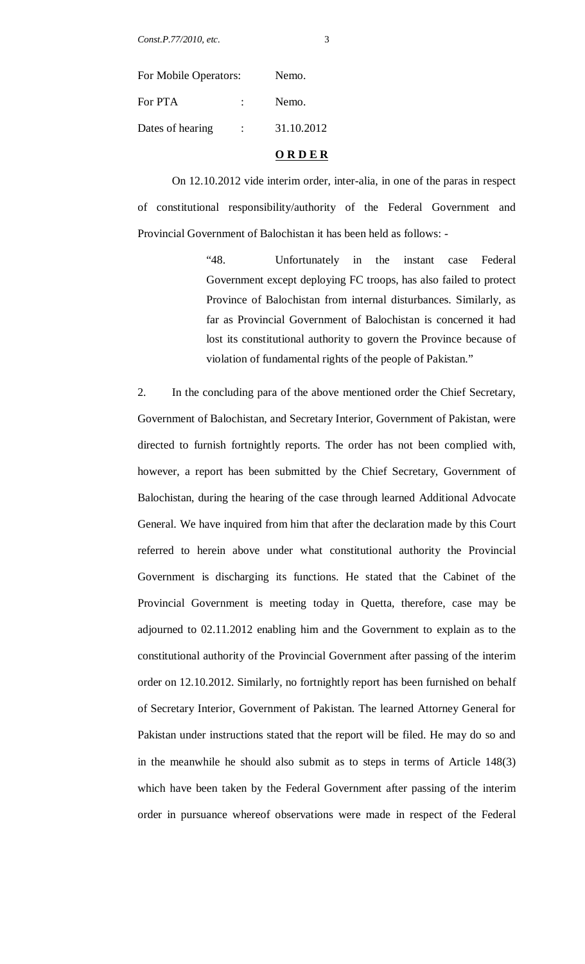| ٠      |  |
|--------|--|
| ı<br>۰ |  |
|        |  |
|        |  |
| ×<br>I |  |

| For Mobile Operators: |            |
|-----------------------|------------|
| $\mathbb{R}^n$        | Nemo.      |
| $\mathcal{L}$         | 31.10.2012 |
|                       |            |

#### **O R D E R**

On 12.10.2012 vide interim order, inter-alia, in one of the paras in respect of constitutional responsibility/authority of the Federal Government and Provincial Government of Balochistan it has been held as follows: -

> "48. Unfortunately in the instant case Federal Government except deploying FC troops, has also failed to protect Province of Balochistan from internal disturbances. Similarly, as far as Provincial Government of Balochistan is concerned it had lost its constitutional authority to govern the Province because of violation of fundamental rights of the people of Pakistan."

2. In the concluding para of the above mentioned order the Chief Secretary, Government of Balochistan, and Secretary Interior, Government of Pakistan, were directed to furnish fortnightly reports. The order has not been complied with, however, a report has been submitted by the Chief Secretary, Government of Balochistan, during the hearing of the case through learned Additional Advocate General. We have inquired from him that after the declaration made by this Court referred to herein above under what constitutional authority the Provincial Government is discharging its functions. He stated that the Cabinet of the Provincial Government is meeting today in Quetta, therefore, case may be adjourned to 02.11.2012 enabling him and the Government to explain as to the constitutional authority of the Provincial Government after passing of the interim order on 12.10.2012. Similarly, no fortnightly report has been furnished on behalf of Secretary Interior, Government of Pakistan. The learned Attorney General for Pakistan under instructions stated that the report will be filed. He may do so and in the meanwhile he should also submit as to steps in terms of Article 148(3) which have been taken by the Federal Government after passing of the interim order in pursuance whereof observations were made in respect of the Federal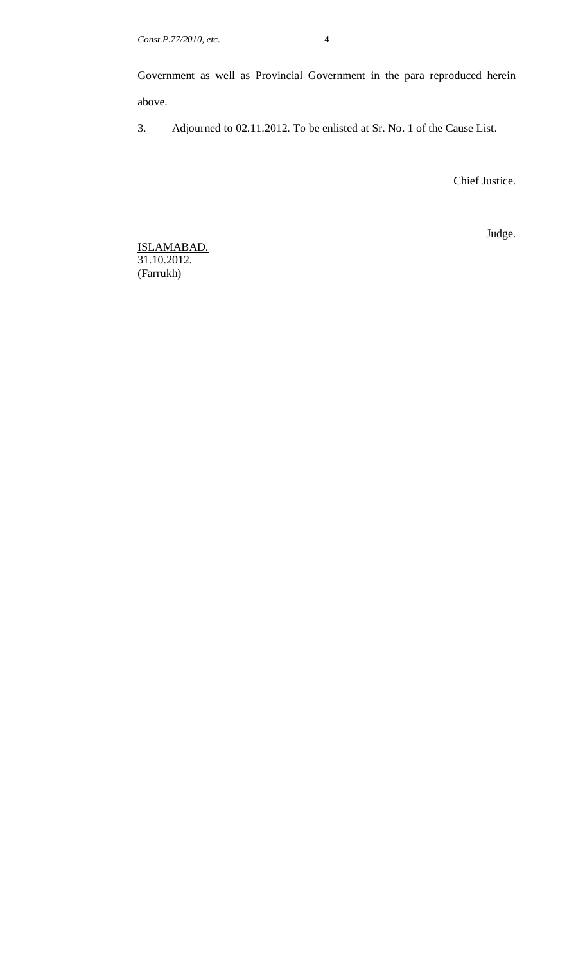Government as well as Provincial Government in the para reproduced herein above.

3. Adjourned to 02.11.2012. To be enlisted at Sr. No. 1 of the Cause List.

Chief Justice.

Judge.

ISLAMABAD. 31.10.2012. (Farrukh)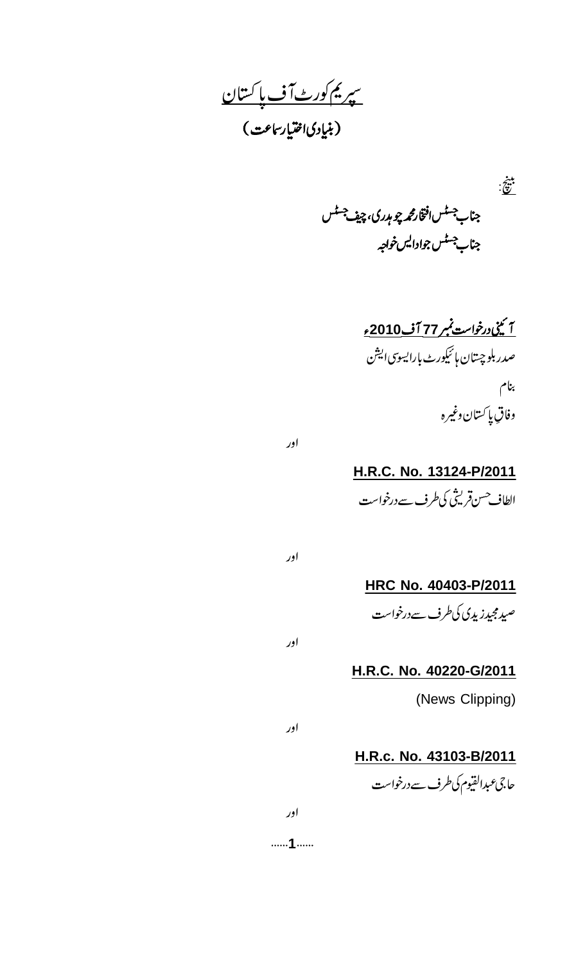<u>سپریم کورٹ آف پاکستان</u> .<br>(بنیاِدیافقتیار ساعت)

 $\ddot{\hat{z}}$ جناب<sup>جسٹس افتخارم</sup> پر چوہدری، چیف<sup>جسٹس</sup> جناب جسٹس جوادالیں خواجہ

> <u>آ ئينى درخواست نمبر 77 آف2010ء</u> صدر بلوچىتان ہائىكورٹ بارايسوسى ايشن بنام وفاق پاکستان وغيره

اور

اور

اور

**H.R.C. No. 13124-P/2011** الطاف حسن قريثي كي طرف سے درخواست

**HRC No. 40403-P/2011** صیدمجیدز پدی کی طرف سے درخواست

**H.R.C. No. 40220-G/2011**

(News Clipping)

اور

**H.R.c. No. 43103-B/2011** حاجى عبدالقيوم كى طرف سے درخواست

......1.......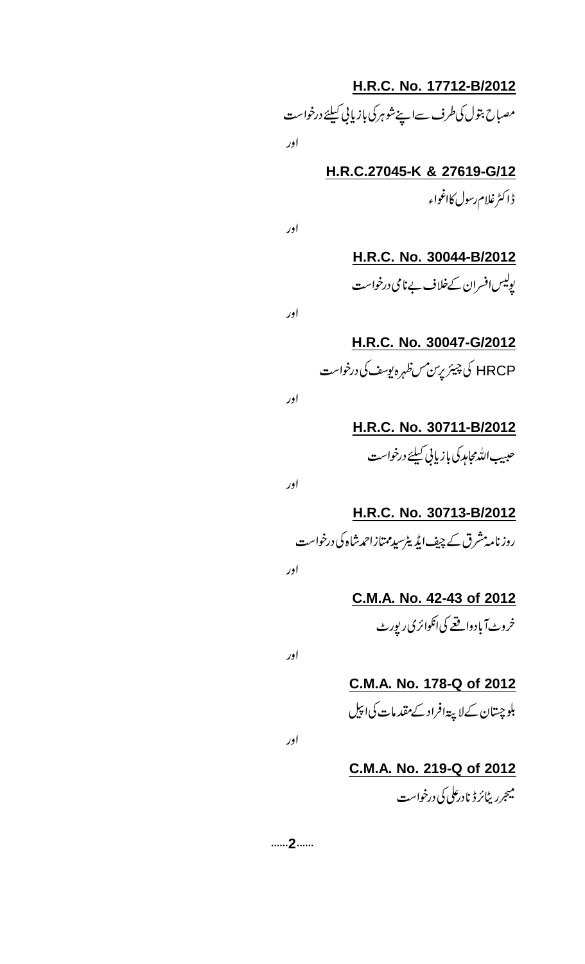**H.R.C. No. 17712-B/2012** مصباح بتول کی طرف سےاپنے شوہر کی بازیابی کیلئے درخواست اور

> **H.R.C.27045-K & 27619-G/12** ڈاکٹرغلام رسول کااغواء

اور

اور

**H.R.C. No. 30044-B/2012** یولیس افسران کےخلاف بےنامی درخواست

**H.R.C. No. 30047-G/2012** HRCP کی چیئر پرسن مسنظہرہ بوسٹ کی درخواست

اور

**H.R.C. No. 30711-B/2012** حېبيب الله مجامد کې بازيايي کيلئے درخواست

اور

**H.R.C. No. 30713-B/2012** روز نامہ مشرق کے چیف ایڈیٹرسید ممتازاحمد شاہ کی درخواست

اور

**C.M.A. No. 42-43 of 2012** خروٹ آبادواقعے کی انکوائری ریورٹ

اور

**C.M.A. No. 178-Q of 2012** بلوچستان کےلاپیۃافراد کے مقدمات کی اپیل

اور

**C.M.A. No. 219-Q of 2012** میجرری<sup>ل</sup>ائرڈ نادرعلی کی درخواست

......2......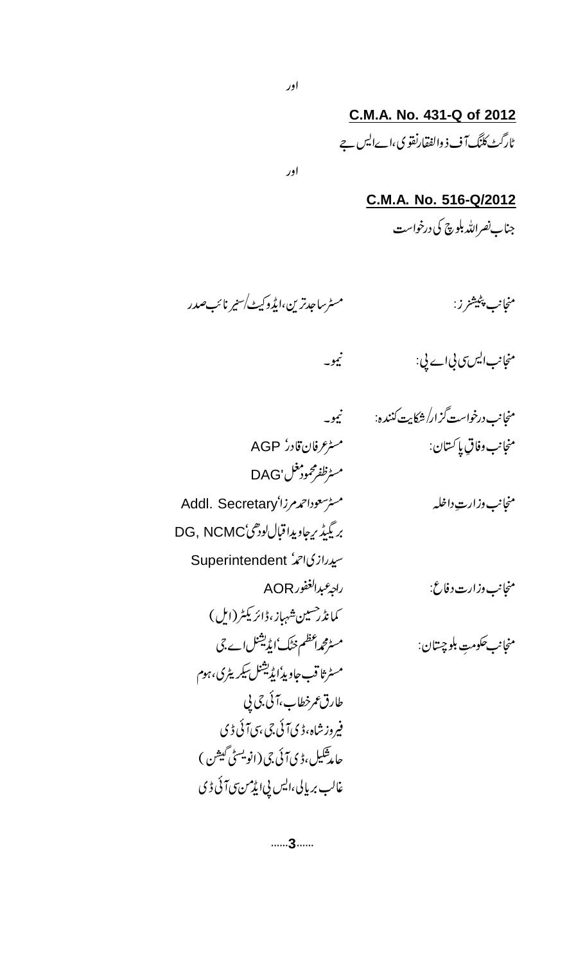**C.M.A. No. 431-Q of 2012** ٹارگٹ کلنگ آف ذ والفقارنقو کی،اےالیں جے

اور

**C.M.A. No. 516-Q/2012** جناب نصرالله بلوچ کی درخواست

منجانب پ<sup>ىپىي</sup>ىتىز ز:<br>مىنجانب پى<sup>پىيىتى</sup>ز ز:

با پلیشز ز .<br>با

منجانب ایس سی بی اے پی: سیمنس سی نیمو۔

 منجانب وفاق پأ Addl. Secretary

AOR

مسٹرعرفان قادر AGP مسٹرنظفرمحمود مغل 'DAG بريگيڈ برچاويداقباللودهی DG, NCMC Superintendent *پیددازی احرا* كمانڈر<sup>حسين</sup> شہماز،ڈائريكٹر (ايل) مسٹرثاقب جاویڈایڈیشنل سکریٹری، ہوم طارق عمرخطاب،آئي.چي پي فیروز شاہ،ڈی آئی جی بنی آئی ڈی حامد شکیل، ڈی آئی جی ( آئو ر<br>پسپ .<br>نويسڻ گيشن ) .<br>1 غالب بریالی،ایس پی ایڈمن سی آئی ڈی

......3......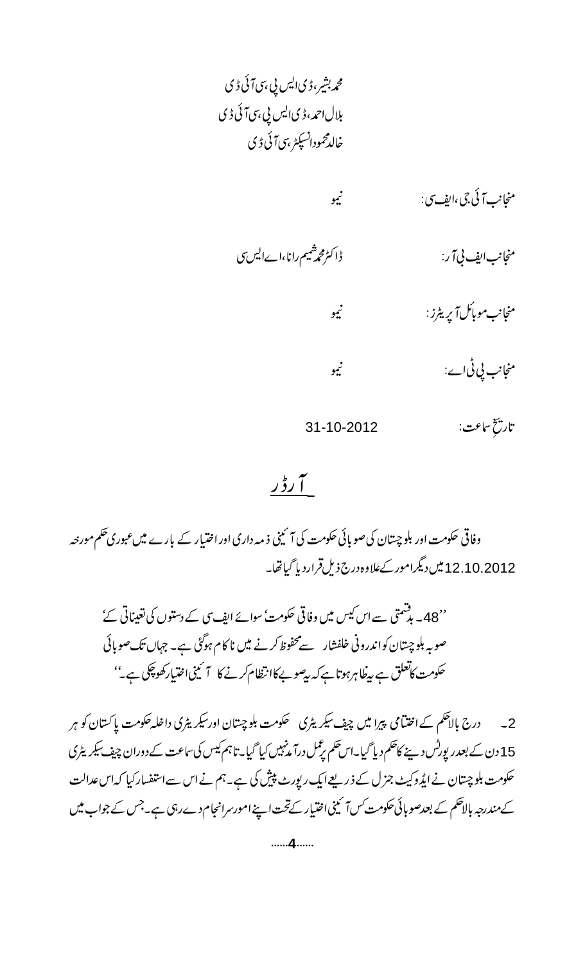محمد بشیر، ڈی ایس پی ہی آئی ڈی بلال احمہ، ڈی ایس پی،سی آئی ڈی خالدمحمودانسپکٹر ہی7ئی ڈی

 منجانب موبائل آپریٹرز: سیست میو منجانب <u>پی ٹی</u> اے: سیسے منصوبے منصوبے کے ایک منصوبے کی ایک ایک منصوبے کی منصوبے کی ایک منصوبے کے منصوبے کے ایک ا 31-10-2012  $\zeta$ Ź مخ ساعت:<br>ع

# اس دی<br>سالہ میں<br>سالہ

وفاقی حکومت اور بلوچیتان کی صوبائی حکومت کی آئینی ذمہ داری اور اختیار کے بارے میں عبوریحکم مورجہ 12.10.2012

''48۔ بدشمتی سے اس کیس میں وفاقی حکومت' سوائے ایف سی کے دستوں کی تغیناتی کئے ' صوبہ بلوچیتان کواندرونی خلفشار سےمحفوظ کرنے میں نا کام ہوگئی ہے۔ جہاں تک صوبائی حکومت کاتعلق ہے بیطاہرہوتا ہے کہ بیصوبےکاانتظام کرنے کا ۲ کینی اختیارکھوچکی ہے۔''

2۔ درج بالاحکم کےاختیامی پیرا میں چیف سیگر یٹری سنگومت بلوچستان اور سیگر یٹری داخلہ حکومت پاکستان کو ہر 15 دن کے بعدر پورٹس دینے کاظلم دیا گیا۔اس حکم برغمل درآمد نہیں کیا گیا۔تا ہم کیس کی ساعت کے دوران چیف سیگر یٹری حکومت بلوچیتان نے ایڈ وکیٹ جزل کے ذریعے ایک رپورٹ پیش کی ہے۔ہم نے اس سےاستفسار کیا کہ اس عدالت کےمندرجہ بالاحکم کے بعدصو بائی حکومت *کس آئی*نی اختیار کےتحت اپنے امورسرانجام دےرہی ہے۔جس کے جواب میں

......4......